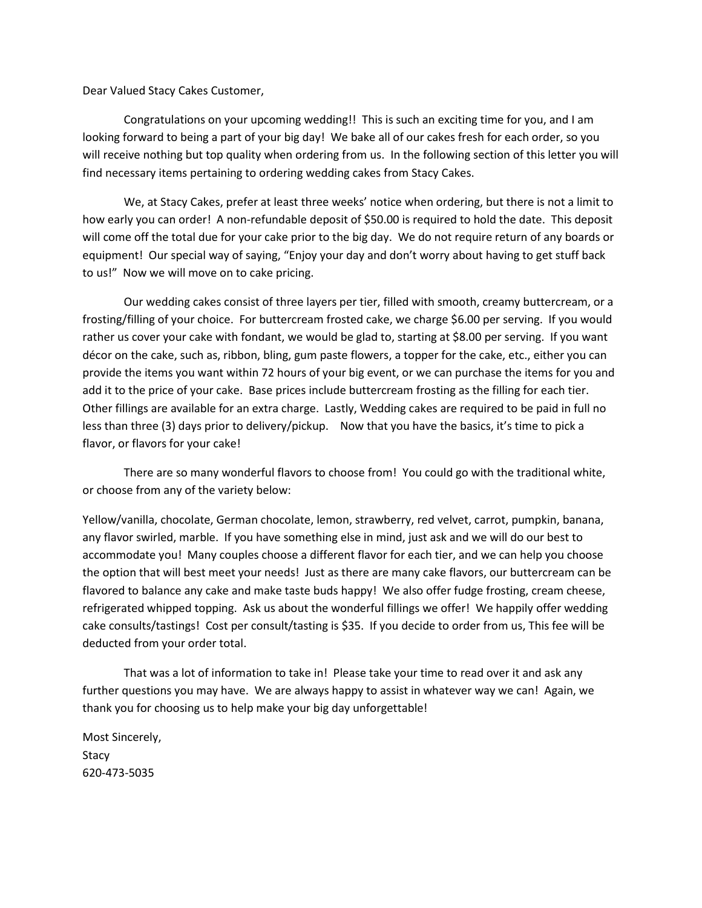Dear Valued Stacy Cakes Customer,

Congratulations on your upcoming wedding!! This is such an exciting time for you, and I am looking forward to being a part of your big day! We bake all of our cakes fresh for each order, so you will receive nothing but top quality when ordering from us. In the following section of this letter you will find necessary items pertaining to ordering wedding cakes from Stacy Cakes.

We, at Stacy Cakes, prefer at least three weeks' notice when ordering, but there is not a limit to how early you can order! A non-refundable deposit of \$50.00 is required to hold the date. This deposit will come off the total due for your cake prior to the big day. We do not require return of any boards or equipment! Our special way of saying, "Enjoy your day and don't worry about having to get stuff back to us!" Now we will move on to cake pricing.

Our wedding cakes consist of three layers per tier, filled with smooth, creamy buttercream, or a frosting/filling of your choice. For buttercream frosted cake, we charge \$6.00 per serving. If you would rather us cover your cake with fondant, we would be glad to, starting at \$8.00 per serving. If you want décor on the cake, such as, ribbon, bling, gum paste flowers, a topper for the cake, etc., either you can provide the items you want within 72 hours of your big event, or we can purchase the items for you and add it to the price of your cake. Base prices include buttercream frosting as the filling for each tier. Other fillings are available for an extra charge. Lastly, Wedding cakes are required to be paid in full no less than three (3) days prior to delivery/pickup. Now that you have the basics, it's time to pick a flavor, or flavors for your cake!

There are so many wonderful flavors to choose from! You could go with the traditional white, or choose from any of the variety below:

Yellow/vanilla, chocolate, German chocolate, lemon, strawberry, red velvet, carrot, pumpkin, banana, any flavor swirled, marble. If you have something else in mind, just ask and we will do our best to accommodate you! Many couples choose a different flavor for each tier, and we can help you choose the option that will best meet your needs! Just as there are many cake flavors, our buttercream can be flavored to balance any cake and make taste buds happy! We also offer fudge frosting, cream cheese, refrigerated whipped topping. Ask us about the wonderful fillings we offer! We happily offer wedding cake consults/tastings! Cost per consult/tasting is \$35. If you decide to order from us, This fee will be deducted from your order total.

That was a lot of information to take in! Please take your time to read over it and ask any further questions you may have. We are always happy to assist in whatever way we can! Again, we thank you for choosing us to help make your big day unforgettable!

Most Sincerely, **Stacy** 620-473-5035